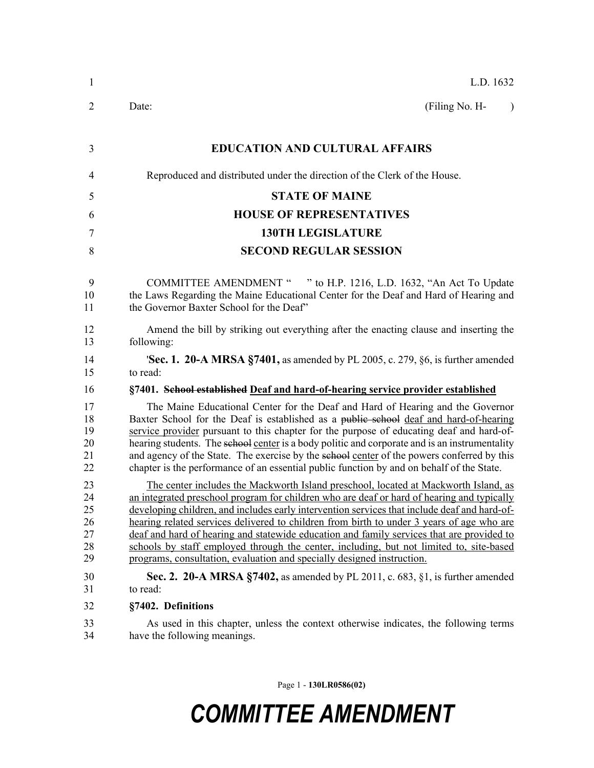| $\mathbf{1}$                           | L.D. 1632                                                                                                                                                                                                                                                                                                                                                                                                                                                                                                                                                                                                                                        |
|----------------------------------------|--------------------------------------------------------------------------------------------------------------------------------------------------------------------------------------------------------------------------------------------------------------------------------------------------------------------------------------------------------------------------------------------------------------------------------------------------------------------------------------------------------------------------------------------------------------------------------------------------------------------------------------------------|
| 2                                      | (Filing No. H-<br>Date:<br>$\lambda$                                                                                                                                                                                                                                                                                                                                                                                                                                                                                                                                                                                                             |
| 3                                      | <b>EDUCATION AND CULTURAL AFFAIRS</b>                                                                                                                                                                                                                                                                                                                                                                                                                                                                                                                                                                                                            |
| 4                                      | Reproduced and distributed under the direction of the Clerk of the House.                                                                                                                                                                                                                                                                                                                                                                                                                                                                                                                                                                        |
| 5                                      | <b>STATE OF MAINE</b>                                                                                                                                                                                                                                                                                                                                                                                                                                                                                                                                                                                                                            |
| 6                                      | <b>HOUSE OF REPRESENTATIVES</b>                                                                                                                                                                                                                                                                                                                                                                                                                                                                                                                                                                                                                  |
| 7                                      | <b>130TH LEGISLATURE</b>                                                                                                                                                                                                                                                                                                                                                                                                                                                                                                                                                                                                                         |
| 8                                      | <b>SECOND REGULAR SESSION</b>                                                                                                                                                                                                                                                                                                                                                                                                                                                                                                                                                                                                                    |
| 9<br>10<br>11                          | COMMITTEE AMENDMENT " " to H.P. 1216, L.D. 1632, "An Act To Update<br>the Laws Regarding the Maine Educational Center for the Deaf and Hard of Hearing and<br>the Governor Baxter School for the Deaf"                                                                                                                                                                                                                                                                                                                                                                                                                                           |
| 12<br>13                               | Amend the bill by striking out everything after the enacting clause and inserting the<br>following:                                                                                                                                                                                                                                                                                                                                                                                                                                                                                                                                              |
| 14<br>15                               | <b>Sec. 1. 20-A MRSA §7401</b> , as amended by PL 2005, c. 279, §6, is further amended<br>to read:                                                                                                                                                                                                                                                                                                                                                                                                                                                                                                                                               |
| 16                                     | §7401. School established Deaf and hard-of-hearing service provider established                                                                                                                                                                                                                                                                                                                                                                                                                                                                                                                                                                  |
| 17<br>18<br>19<br>20<br>21<br>22       | The Maine Educational Center for the Deaf and Hard of Hearing and the Governor<br>Baxter School for the Deaf is established as a public school deaf and hard-of-hearing<br>service provider pursuant to this chapter for the purpose of educating deaf and hard-of-<br>hearing students. The school center is a body politic and corporate and is an instrumentality<br>and agency of the State. The exercise by the sehool center of the powers conferred by this<br>chapter is the performance of an essential public function by and on behalf of the State.                                                                                  |
| 23<br>24<br>25<br>26<br>27<br>28<br>29 | The center includes the Mackworth Island preschool, located at Mackworth Island, as<br>an integrated preschool program for children who are deaf or hard of hearing and typically<br>developing children, and includes early intervention services that include deaf and hard-of-<br>hearing related services delivered to children from birth to under 3 years of age who are<br>deaf and hard of hearing and statewide education and family services that are provided to<br>schools by staff employed through the center, including, but not limited to, site-based<br>programs, consultation, evaluation and specially designed instruction. |
| 30<br>31                               | Sec. 2. 20-A MRSA $\S$ 7402, as amended by PL 2011, c. 683, $\S$ 1, is further amended<br>to read:                                                                                                                                                                                                                                                                                                                                                                                                                                                                                                                                               |
| 32                                     | §7402. Definitions                                                                                                                                                                                                                                                                                                                                                                                                                                                                                                                                                                                                                               |
| 33<br>34                               | As used in this chapter, unless the context otherwise indicates, the following terms<br>have the following meanings.                                                                                                                                                                                                                                                                                                                                                                                                                                                                                                                             |

Page 1 - **130LR0586(02)**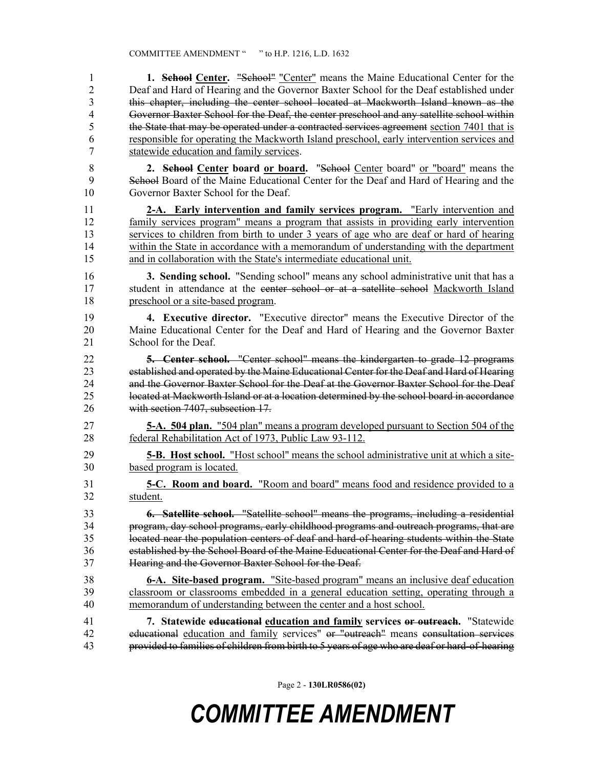1 **1. School Center.** "School" "Center" means the Maine Educational Center for the 2 Deaf and Hard of Hearing and the Governor Baxter School for the Deaf established under 3 this chapter, including the center school located at Mackworth Island known as the 4 Governor Baxter School for the Deaf, the center preschool and any satellite school within 5 the State that may be operated under a contracted services agreement section 7401 that is 6 responsible for operating the Mackworth Island preschool, early intervention services and 7 statewide education and family services.

- 8 **2. School Center board or board.** "School Center board" or "board" means the 9 School Board of the Maine Educational Center for the Deaf and Hard of Hearing and the 10 Governor Baxter School for the Deaf.
- 11 **2-A. Early intervention and family services program.** "Early intervention and 12 family services program" means a program that assists in providing early intervention 13 services to children from birth to under 3 years of age who are deaf or hard of hearing 14 within the State in accordance with a memorandum of understanding with the department 15 and in collaboration with the State's intermediate educational unit.
- 16 **3. Sending school.** "Sending school" means any school administrative unit that has a 17 student in attendance at the center school or at a satellite school Mackworth Island 18 preschool or a site-based program.
- 19 **4. Executive director.** "Executive director" means the Executive Director of the 20 Maine Educational Center for the Deaf and Hard of Hearing and the Governor Baxter 21 School for the Deaf.
- 22 **5. Center school.** "Center school" means the kindergarten to grade 12 programs 23 established and operated by the Maine Educational Center for the Deaf and Hard of Hearing 24 and the Governor Baxter School for the Deaf at the Governor Baxter School for the Deaf 25 located at Mackworth Island or at a location determined by the school board in accordance 26 with section 7407, subsection 17.
- 27 **5-A. 504 plan.** "504 plan" means a program developed pursuant to Section 504 of the 28 federal Rehabilitation Act of 1973, Public Law 93-112.
- 29 **5-B. Host school.** "Host school" means the school administrative unit at which a site-30 based program is located.
- 31 **5-C. Room and board.** "Room and board" means food and residence provided to a 32 student.

33 **6. Satellite school.** "Satellite school" means the programs, including a residential 34 program, day school programs, early childhood programs and outreach programs, that are 35 located near the population centers of deaf and hard-of-hearing students within the State 36 established by the School Board of the Maine Educational Center for the Deaf and Hard of 37 Hearing and the Governor Baxter School for the Deaf.

38 **6-A. Site-based program.** "Site-based program" means an inclusive deaf education 39 classroom or classrooms embedded in a general education setting, operating through a 40 memorandum of understanding between the center and a host school.

41 **7. Statewide educational education and family services or outreach.** "Statewide 42 educational education and family services" or "outreach" means consultation services 43 provided to families of children from birth to 5 years of age who are deaf or hard-of-hearing

Page 2 - **130LR0586(02)**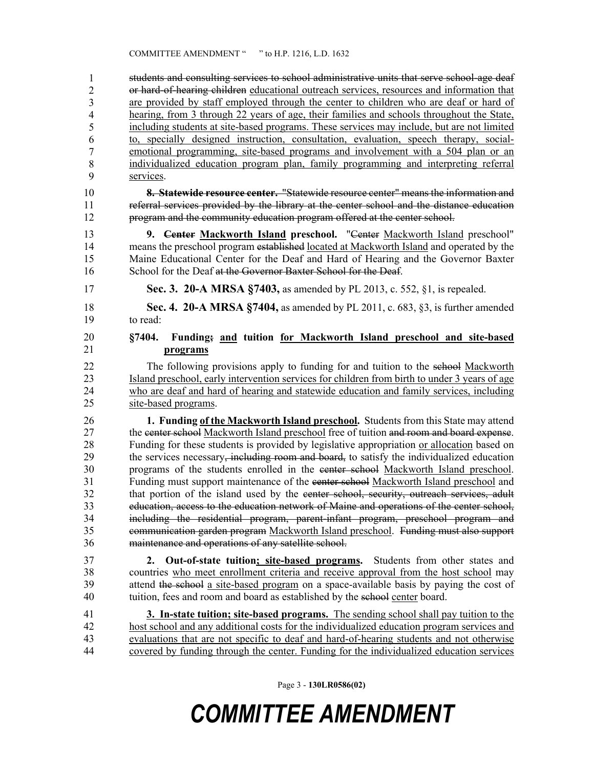students and consulting services to school administrative units that serve school-age deaf or hard-of-hearing children educational outreach services, resources and information that are provided by staff employed through the center to children who are deaf or hard of hearing, from 3 through  $\overline{22}$  years of age, their families and schools throughout the State, including students at site-based programs. These services may include, but are not limited to, specially designed instruction, consultation, evaluation, speech therapy, socialemotional programming, site-based programs and involvement with a 504 plan or an individualized education program plan, family programming and interpreting referral services. 1 2 3 4 5 6 7 8 9

- 10 **8. Statewide resource center.** "Statewide resource center" means the information and 11 referral services provided by the library at the center school and the distance education 12 program and the community education program offered at the center school.
- 13 **9. Center Mackworth Island preschool.** "Center Mackworth Island preschool" 14 means the preschool program established located at Mackworth Island and operated by the 15 Maine Educational Center for the Deaf and Hard of Hearing and the Governor Baxter 16 School for the Deaf at the Governor Baxter School for the Deaf.
- 17 **Sec. 3. 20-A MRSA §7403,** as amended by PL 2013, c. 552, §1, is repealed.
- 18 **Sec. 4. 20-A MRSA §7404,** as amended by PL 2011, c. 683, §3, is further amended 19 to read:
- 20 **§7404. Funding; and tuition for Mackworth Island preschool and site-based**  21 **programs**
- 22 The following provisions apply to funding for and tuition to the selection Mackworth 23 Island preschool, early intervention services for children from birth to under 3 years of age 24 who are deaf and hard of hearing and statewide education and family services, including 25 site-based programs.
- 26 **1. Funding of the Mackworth Island preschool.** Students from this State may attend 27 the center school Mackworth Island preschool free of tuition and room and board expense. 28 Funding for these students is provided by legislative appropriation or allocation based on 29 the services necessary<del>, including room and board,</del> to satisfy the individualized education 30 programs of the students enrolled in the center school Mackworth Island preschool. 31 Funding must support maintenance of the center school Mackworth Island preschool and 32 that portion of the island used by the center school, security, outreach services, adult 33 education, access to the education network of Maine and operations of the center school, 34 including the residential program, parent-infant program, preschool program and 35 communication garden program Mackworth Island preschool. Funding must also support 36 maintenance and operations of any satellite school.
- 37 **2. Out-of-state tuition; site-based programs.** Students from other states and 38 countries who meet enrollment criteria and receive approval from the host school may 39 attend the school a site-based program on a space-available basis by paying the cost of 40 tuition, fees and room and board as established by the school center board.
- 41 **3. In-state tuition; site-based programs.** The sending school shall pay tuition to the 42 host school and any additional costs for the individualized education program services and 43 evaluations that are not specific to deaf and hard-of-hearing students and not otherwise 44 covered by funding through the center. Funding for the individualized education services

Page 3 - **130LR0586(02)**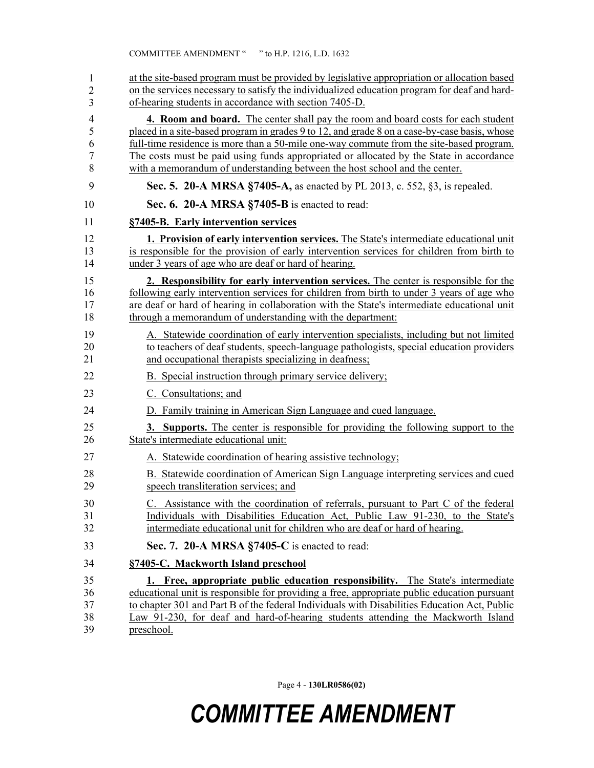| 1                | at the site-based program must be provided by legislative appropriation or allocation based  |
|------------------|----------------------------------------------------------------------------------------------|
| $\overline{c}$   | on the services necessary to satisfy the individualized education program for deaf and hard- |
| 3                | of-hearing students in accordance with section 7405-D.                                       |
| 4                | 4. Room and board. The center shall pay the room and board costs for each student            |
| 5                | placed in a site-based program in grades 9 to 12, and grade 8 on a case-by-case basis, whose |
| 6                | full-time residence is more than a 50-mile one-way commute from the site-based program.      |
| $\boldsymbol{7}$ | The costs must be paid using funds appropriated or allocated by the State in accordance      |
| 8                | with a memorandum of understanding between the host school and the center.                   |
| 9                | Sec. 5. 20-A MRSA §7405-A, as enacted by PL 2013, c. 552, §3, is repealed.                   |
| 10               | Sec. 6. 20-A MRSA §7405-B is enacted to read:                                                |
| 11               | §7405-B. Early intervention services                                                         |
| 12               | 1. Provision of early intervention services. The State's intermediate educational unit       |
| 13               | is responsible for the provision of early intervention services for children from birth to   |
| 14               | under 3 years of age who are deaf or hard of hearing.                                        |
| 15               | 2. Responsibility for early intervention services. The center is responsible for the         |
| 16               | following early intervention services for children from birth to under 3 years of age who    |
| 17               | are deaf or hard of hearing in collaboration with the State's intermediate educational unit  |
| 18               | through a memorandum of understanding with the department:                                   |
| 19               | A. Statewide coordination of early intervention specialists, including but not limited       |
| 20               | to teachers of deaf students, speech-language pathologists, special education providers      |
| 21               | and occupational therapists specializing in deafness;                                        |
| 22               | B. Special instruction through primary service delivery;                                     |
| 23               | C. Consultations; and                                                                        |
| 24               | D. Family training in American Sign Language and cued language.                              |
| 25               | 3. Supports. The center is responsible for providing the following support to the            |
| 26               | State's intermediate educational unit:                                                       |
| 27               | A. Statewide coordination of hearing assistive technology;                                   |
| 28               | B. Statewide coordination of American Sign Language interpreting services and cued           |
| 29               | speech transliteration services; and                                                         |
| 30               | C. Assistance with the coordination of referrals, pursuant to Part C of the federal          |
| 31               | Individuals with Disabilities Education Act, Public Law 91-230, to the State's               |
| 32               | intermediate educational unit for children who are deaf or hard of hearing.                  |
| 33               | Sec. 7. 20-A MRSA §7405-C is enacted to read:                                                |
| 34               | §7405-C. Mackworth Island preschool                                                          |
| 35               | 1. Free, appropriate public education responsibility. The State's intermediate               |
| 36               | educational unit is responsible for providing a free, appropriate public education pursuant  |
| 37               | to chapter 301 and Part B of the federal Individuals with Disabilities Education Act, Public |
| 38               | Law 91-230, for deaf and hard-of-hearing students attending the Mackworth Island             |
| 39               | preschool.                                                                                   |

Page 4 - **130LR0586(02)**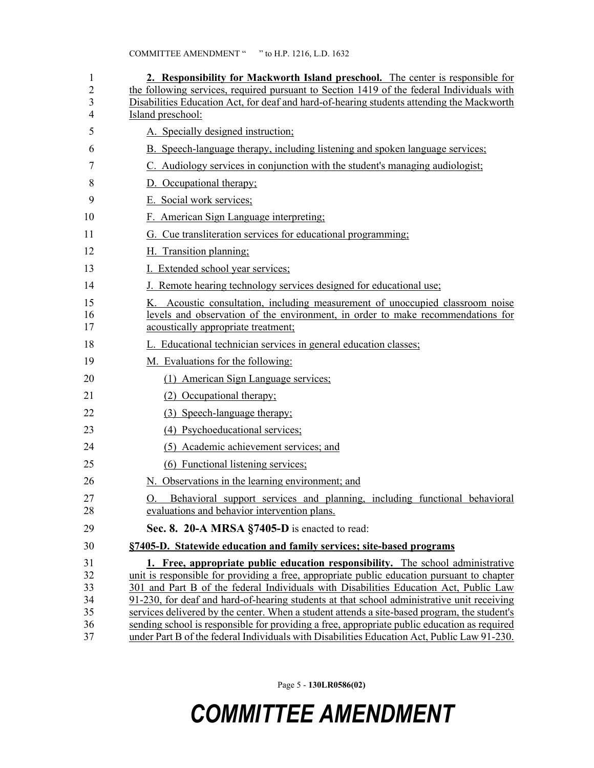| 1<br>$\overline{2}$ | 2. Responsibility for Mackworth Island preschool. The center is responsible for<br>the following services, required pursuant to Section 1419 of the federal Individuals with        |
|---------------------|-------------------------------------------------------------------------------------------------------------------------------------------------------------------------------------|
| 3                   | Disabilities Education Act, for deaf and hard-of-hearing students attending the Mackworth                                                                                           |
| 4                   | Island preschool:                                                                                                                                                                   |
| 5                   | A. Specially designed instruction;                                                                                                                                                  |
| 6                   | B. Speech-language therapy, including listening and spoken language services;                                                                                                       |
| 7                   | C. Audiology services in conjunction with the student's managing audiologist;                                                                                                       |
| 8                   | D. Occupational therapy;                                                                                                                                                            |
| 9                   | E. Social work services;                                                                                                                                                            |
| 10                  | F. American Sign Language interpreting;                                                                                                                                             |
| 11                  | G. Cue transliteration services for educational programming;                                                                                                                        |
| 12                  | H. Transition planning:                                                                                                                                                             |
| 13                  | I. Extended school year services;                                                                                                                                                   |
| 14                  | J. Remote hearing technology services designed for educational use;                                                                                                                 |
| 15                  | K. Acoustic consultation, including measurement of unoccupied classroom noise                                                                                                       |
| 16<br>17            | levels and observation of the environment, in order to make recommendations for<br>acoustically appropriate treatment;                                                              |
| 18                  | L. Educational technician services in general education classes;                                                                                                                    |
| 19                  | M. Evaluations for the following:                                                                                                                                                   |
| 20                  | (1) American Sign Language services;                                                                                                                                                |
| 21                  | (2) Occupational therapy;                                                                                                                                                           |
| 22                  | (3) Speech-language therapy;                                                                                                                                                        |
| 23                  | (4) Psychoeducational services;                                                                                                                                                     |
| 24                  | (5) Academic achievement services; and                                                                                                                                              |
| 25                  | (6) Functional listening services;                                                                                                                                                  |
| 26                  | N. Observations in the learning environment; and                                                                                                                                    |
| 27                  | O. Behavioral support services and planning, including functional behavioral                                                                                                        |
| 28                  | evaluations and behavior intervention plans.                                                                                                                                        |
| 29                  | Sec. 8. 20-A MRSA §7405-D is enacted to read:                                                                                                                                       |
| 30                  | §7405-D. Statewide education and family services; site-based programs                                                                                                               |
| 31                  | <b>1. Free, appropriate public education responsibility.</b> The school administrative                                                                                              |
| 32<br>33            | unit is responsible for providing a free, appropriate public education pursuant to chapter<br>301 and Part B of the federal Individuals with Disabilities Education Act, Public Law |
| 34                  | 91-230, for deaf and hard-of-hearing students at that school administrative unit receiving                                                                                          |
| 35                  | services delivered by the center. When a student attends a site-based program, the student's                                                                                        |
| 36                  | sending school is responsible for providing a free, appropriate public education as required                                                                                        |
| 37                  | under Part B of the federal Individuals with Disabilities Education Act, Public Law 91-230.                                                                                         |

Page 5 - **130LR0586(02)**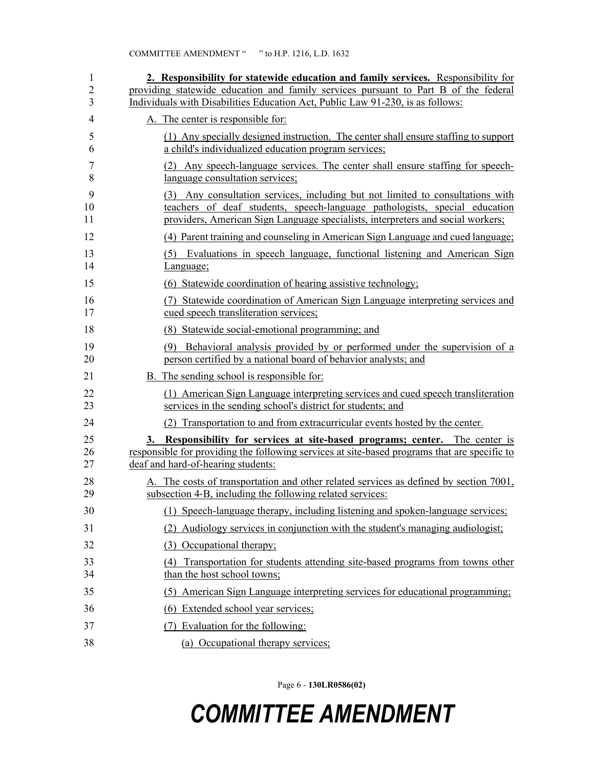| 1<br>$\overline{2}$<br>3 | 2. Responsibility for statewide education and family services. Responsibility for<br>providing statewide education and family services pursuant to Part B of the federal<br>Individuals with Disabilities Education Act, Public Law 91-230, is as follows: |
|--------------------------|------------------------------------------------------------------------------------------------------------------------------------------------------------------------------------------------------------------------------------------------------------|
| 4                        | A. The center is responsible for:                                                                                                                                                                                                                          |
| 5<br>6                   | (1) Any specially designed instruction. The center shall ensure staffing to support<br>a child's individualized education program services;                                                                                                                |
| 7<br>8                   | (2) Any speech-language services. The center shall ensure staffing for speech-<br>language consultation services;                                                                                                                                          |
| 9<br>10<br>11            | Any consultation services, including but not limited to consultations with<br>(3)<br>teachers of deaf students, speech-language pathologists, special education<br>providers, American Sign Language specialists, interpreters and social workers;         |
| 12                       | (4) Parent training and counseling in American Sign Language and cued language;                                                                                                                                                                            |
| 13<br>14                 | Evaluations in speech language, functional listening and American Sign<br>(5)<br>Language;                                                                                                                                                                 |
| 15                       | (6) Statewide coordination of hearing assistive technology;                                                                                                                                                                                                |
| 16<br>17                 | (7) Statewide coordination of American Sign Language interpreting services and<br>cued speech transliteration services;                                                                                                                                    |
| 18                       | (8) Statewide social-emotional programming; and                                                                                                                                                                                                            |
| 19<br>20                 | Behavioral analysis provided by or performed under the supervision of a<br>(9)<br>person certified by a national board of behavior analysts; and                                                                                                           |
| 21                       | B. The sending school is responsible for:                                                                                                                                                                                                                  |
| 22<br>23                 | (1) American Sign Language interpreting services and cued speech transliteration<br>services in the sending school's district for students; and                                                                                                            |
| 24                       | Transportation to and from extracurricular events hosted by the center.<br>(2)                                                                                                                                                                             |
| 25<br>26<br>27           | 3. Responsibility for services at site-based programs; center. The center is<br>responsible for providing the following services at site-based programs that are specific to<br>deaf and hard-of-hearing students:                                         |
| 28<br>29                 | A. The costs of transportation and other related services as defined by section 7001,<br>subsection 4-B, including the following related services:                                                                                                         |
| 30                       | (1) Speech-language therapy, including listening and spoken-language services;                                                                                                                                                                             |
| 31                       | Audiology services in conjunction with the student's managing audiologist;<br>(2)                                                                                                                                                                          |
| 32                       | (3) Occupational therapy:                                                                                                                                                                                                                                  |
| 33<br>34                 | Transportation for students attending site-based programs from towns other<br>(4)<br>than the host school towns;                                                                                                                                           |
| 35                       | (5) American Sign Language interpreting services for educational programming:                                                                                                                                                                              |
| 36                       | (6) Extended school year services;                                                                                                                                                                                                                         |
| 37                       | (7) Evaluation for the following:                                                                                                                                                                                                                          |
| 38                       | (a) Occupational therapy services;                                                                                                                                                                                                                         |

Page 6 - **130LR0586(02)**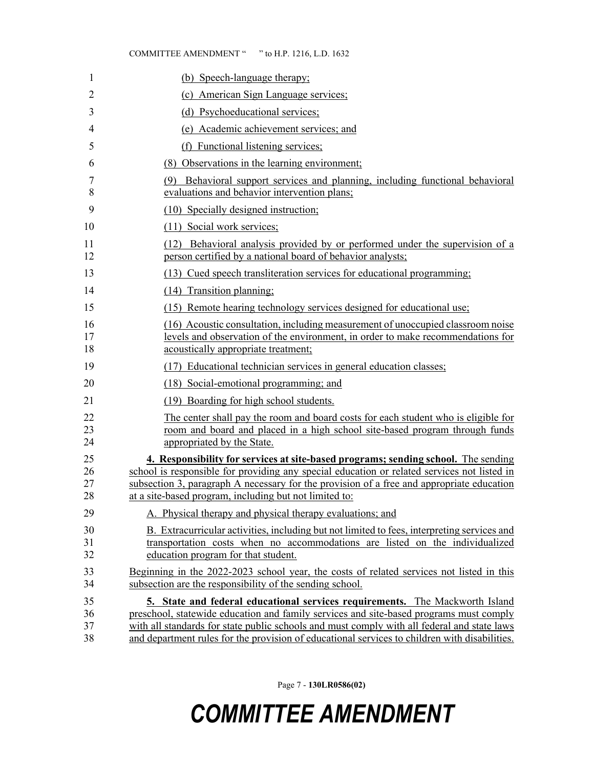| 1                    | (b) Speech-language therapy;                                                                                                                                                                                                                                                                                                                                           |
|----------------------|------------------------------------------------------------------------------------------------------------------------------------------------------------------------------------------------------------------------------------------------------------------------------------------------------------------------------------------------------------------------|
| 2                    | (c) American Sign Language services;                                                                                                                                                                                                                                                                                                                                   |
| 3                    | (d) Psychoeducational services;                                                                                                                                                                                                                                                                                                                                        |
| 4                    | (e) Academic achievement services; and                                                                                                                                                                                                                                                                                                                                 |
| 5                    | (f) Functional listening services;                                                                                                                                                                                                                                                                                                                                     |
| 6                    | (8) Observations in the learning environment;                                                                                                                                                                                                                                                                                                                          |
| 7<br>8               | (9) Behavioral support services and planning, including functional behavioral<br>evaluations and behavior intervention plans;                                                                                                                                                                                                                                          |
| 9                    | (10) Specially designed instruction;                                                                                                                                                                                                                                                                                                                                   |
| 10                   | (11) Social work services;                                                                                                                                                                                                                                                                                                                                             |
| 11<br>12             | (12) Behavioral analysis provided by or performed under the supervision of a<br>person certified by a national board of behavior analysts;                                                                                                                                                                                                                             |
| 13                   | (13) Cued speech transliteration services for educational programming;                                                                                                                                                                                                                                                                                                 |
| 14                   | (14) Transition planning:                                                                                                                                                                                                                                                                                                                                              |
| 15                   | (15) Remote hearing technology services designed for educational use;                                                                                                                                                                                                                                                                                                  |
| 16<br>17<br>18       | (16) Acoustic consultation, including measurement of unoccupied classroom noise<br>levels and observation of the environment, in order to make recommendations for<br>acoustically appropriate treatment;                                                                                                                                                              |
| 19                   | (17) Educational technician services in general education classes;                                                                                                                                                                                                                                                                                                     |
| 20                   | (18) Social-emotional programming; and                                                                                                                                                                                                                                                                                                                                 |
| 21                   | (19) Boarding for high school students.                                                                                                                                                                                                                                                                                                                                |
| 22<br>23<br>24       | The center shall pay the room and board costs for each student who is eligible for<br>room and board and placed in a high school site-based program through funds<br>appropriated by the State.                                                                                                                                                                        |
| 25<br>26<br>27<br>28 | 4. Responsibility for services at site-based programs; sending school. The sending<br>school is responsible for providing any special education or related services not listed in<br>subsection 3, paragraph A necessary for the provision of a free and appropriate education<br>at a site-based program, including but not limited to:                               |
| 29                   | A. Physical therapy and physical therapy evaluations; and                                                                                                                                                                                                                                                                                                              |
| 30<br>31<br>32       | B. Extracurricular activities, including but not limited to fees, interpreting services and<br>transportation costs when no accommodations are listed on the individualized<br>education program for that student.                                                                                                                                                     |
| 33<br>34             | Beginning in the 2022-2023 school year, the costs of related services not listed in this<br>subsection are the responsibility of the sending school.                                                                                                                                                                                                                   |
| 35<br>36<br>37<br>38 | 5. State and federal educational services requirements. The Mackworth Island<br>preschool, statewide education and family services and site-based programs must comply<br>with all standards for state public schools and must comply with all federal and state laws<br>and department rules for the provision of educational services to children with disabilities. |

Page 7 - **130LR0586(02)**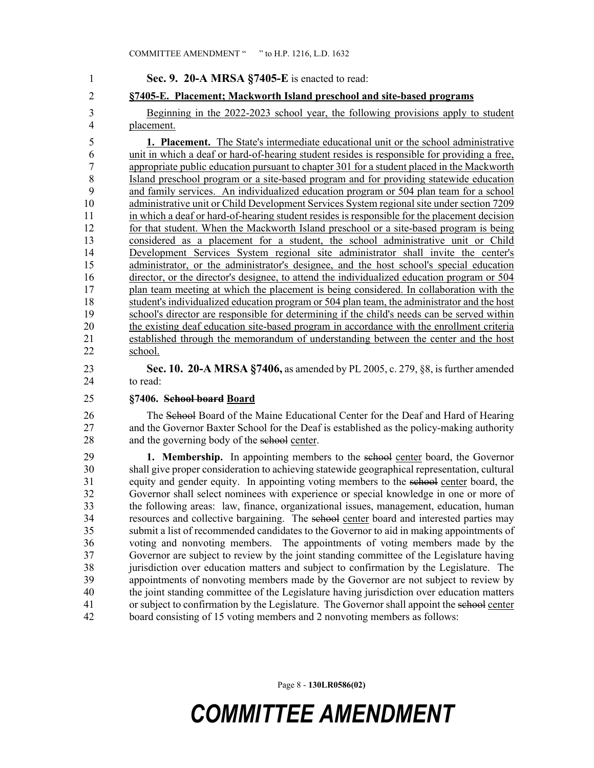1 **Sec. 9. 20-A MRSA §7405-E** is enacted to read: 2 **§7405-E. Placement; Mackworth Island preschool and site-based programs** 3 Beginning in the 2022-2023 school year, the following provisions apply to student 4 placement. 5 **1. Placement.** The State's intermediate educational unit or the school administrative 6 unit in which a deaf or hard-of-hearing student resides is responsible for providing a free, 7 appropriate public education pursuant to chapter 301 for a student placed in the Mackworth 8 Island preschool program or a site-based program and for providing statewide education 9 and family services. An individualized education program or 504 plan team for a school 10 administrative unit or Child Development Services System regional site under section 7209 11 in which a deaf or hard-of-hearing student resides is responsible for the placement decision 12 for that student. When the Mackworth Island preschool or a site-based program is being 13 considered as a placement for a student, the school administrative unit or Child 14 Development Services System regional site administrator shall invite the center's 15 administrator, or the administrator's designee, and the host school's special education 16 director, or the director's designee, to attend the individualized education program or 504 17 plan team meeting at which the placement is being considered. In collaboration with the 18 student's individualized education program or 504 plan team, the administrator and the host 19 school's director are responsible for determining if the child's needs can be served within 20 the existing deaf education site-based program in accordance with the enrollment criteria 21 established through the memorandum of understanding between the center and the host 22 school. 23 **Sec. 10. 20-A MRSA §7406,** as amended by PL 2005, c. 279, §8, is further amended 24 to read: 25 **§7406. School board Board** 26 The School Board of the Maine Educational Center for the Deaf and Hard of Hearing 27 and the Governor Baxter School for the Deaf is established as the policy-making authority 28 and the governing body of the school center. 29 **1. Membership.** In appointing members to the school center board, the Governor 30 shall give proper consideration to achieving statewide geographical representation, cultural

31 equity and gender equity. In appointing voting members to the school center board, the 32 Governor shall select nominees with experience or special knowledge in one or more of 33 the following areas: law, finance, organizational issues, management, education, human 34 resources and collective bargaining. The school center board and interested parties may 35 submit a list of recommended candidates to the Governor to aid in making appointments of 36 voting and nonvoting members. The appointments of voting members made by the 37 Governor are subject to review by the joint standing committee of the Legislature having 38 jurisdiction over education matters and subject to confirmation by the Legislature. The 39 appointments of nonvoting members made by the Governor are not subject to review by 40 the joint standing committee of the Legislature having jurisdiction over education matters 41 or subject to confirmation by the Legislature. The Governor shall appoint the school center 42 board consisting of 15 voting members and 2 nonvoting members as follows:

Page 8 - **130LR0586(02)**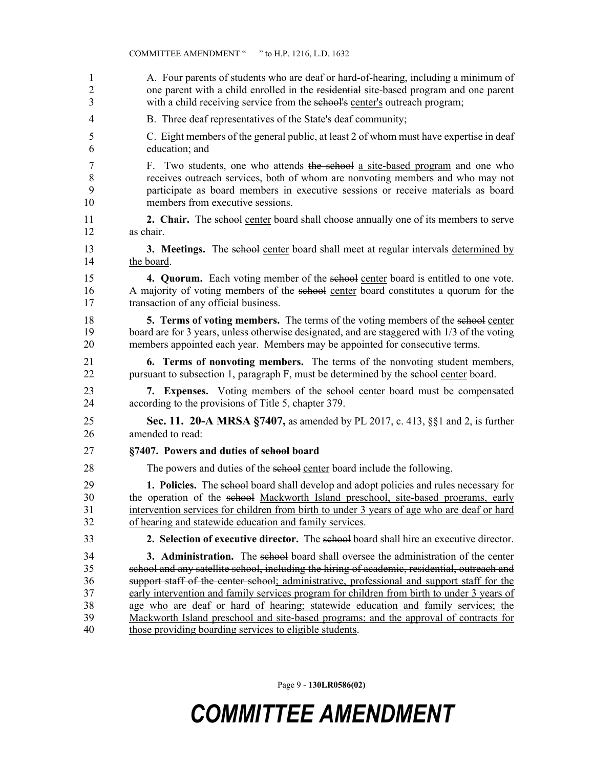| 1  | A. Four parents of students who are deaf or hard-of-hearing, including a minimum of                  |
|----|------------------------------------------------------------------------------------------------------|
| 2  | one parent with a child enrolled in the residential site-based program and one parent                |
| 3  | with a child receiving service from the sehool's center's outreach program;                          |
| 4  | B. Three deaf representatives of the State's deaf community;                                         |
| 5  | C. Eight members of the general public, at least 2 of whom must have expertise in deaf               |
| 6  | education; and                                                                                       |
| 7  | F. Two students, one who attends the school a site-based program and one who                         |
| 8  | receives outreach services, both of whom are nonvoting members and who may not                       |
| 9  | participate as board members in executive sessions or receive materials as board                     |
| 10 | members from executive sessions.                                                                     |
| 11 | <b>2. Chair.</b> The selle object the center board shall choose annually one of its members to serve |
| 12 | as chair.                                                                                            |
| 13 | <b>3. Meetings.</b> The school center board shall meet at regular intervals determined by            |
| 14 | the board.                                                                                           |
| 15 | 4. Quorum. Each voting member of the sehool center board is entitled to one vote.                    |
| 16 | A majority of voting members of the sehool center board constitutes a quorum for the                 |
| 17 | transaction of any official business.                                                                |
| 18 | 5. Terms of voting members. The terms of the voting members of the sehool center                     |
| 19 | board are for 3 years, unless otherwise designated, and are staggered with 1/3 of the voting         |
| 20 | members appointed each year. Members may be appointed for consecutive terms.                         |
| 21 | <b>6. Terms of nonvoting members.</b> The terms of the nonvoting student members,                    |
| 22 | pursuant to subsection 1, paragraph F, must be determined by the sehool center board.                |
| 23 | 7. Expenses. Voting members of the sehool center board must be compensated                           |
| 24 | according to the provisions of Title 5, chapter 379.                                                 |
| 25 | <b>Sec. 11. 20-A MRSA §7407, as amended by PL 2017, c. 413, §§1 and 2, is further</b>                |
| 26 | amended to read:                                                                                     |
| 27 | §7407. Powers and duties of sehool board                                                             |
| 28 | The powers and duties of the school center board include the following.                              |
| 29 | 1. Policies. The sehool board shall develop and adopt policies and rules necessary for               |
| 30 | the operation of the sehool Mackworth Island preschool, site-based programs, early                   |
| 31 | intervention services for children from birth to under 3 years of age who are deaf or hard           |
| 32 | of hearing and statewide education and family services.                                              |
| 33 | 2. Selection of executive director. The selection board shall hire an executive director.            |
| 34 | <b>3. Administration.</b> The school board shall oversee the administration of the center            |
| 35 | school and any satellite school, including the hiring of academic, residential, outreach and         |
| 36 | support staff of the center school; administrative, professional and support staff for the           |
| 37 | early intervention and family services program for children from birth to under 3 years of           |
| 38 | age who are deaf or hard of hearing; statewide education and family services; the                    |
| 39 | Mackworth Island preschool and site-based programs; and the approval of contracts for                |
| 40 | those providing boarding services to eligible students.                                              |

Page 9 - **130LR0586(02)**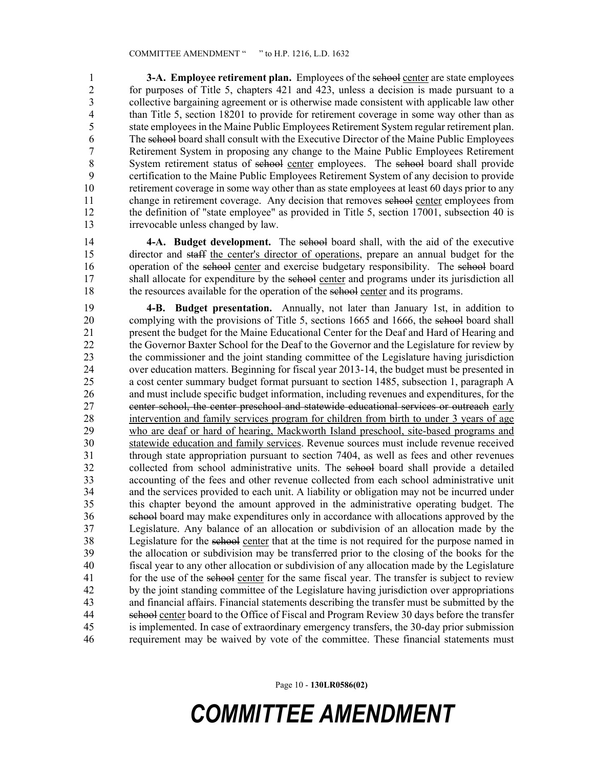1 **3-A. Employee retirement plan.** Employees of the school center are state employees 2 for purposes of Title 5, chapters 421 and 423, unless a decision is made pursuant to a collective bargaining agreement or is otherwise made consistent with applicable law other 3 collective bargaining agreement or is otherwise made consistent with applicable law other 4 than Title 5, section 18201 to provide for retirement coverage in some way other than as 5 state employees in the Maine Public Employees Retirement System regular retirement plan. 6 The school board shall consult with the Executive Director of the Maine Public Employees 7 Retirement System in proposing any change to the Maine Public Employees Retirement 8 System retirement status of school center employees. The school board shall provide 9 certification to the Maine Public Employees Retirement System of any decision to provide 10 retirement coverage in some way other than as state employees at least 60 days prior to any 11 change in retirement coverage. Any decision that removes school center employees from 12 the definition of "state employee" as provided in Title 5, section 17001, subsection 40 is 13 irrevocable unless changed by law.

14 **4-A. Budget development.** The school board shall, with the aid of the executive 15 director and staff the center's director of operations, prepare an annual budget for the 16 operation of the school center and exercise budgetary responsibility. The school board 17 shall allocate for expenditure by the school center and programs under its jurisdiction all 18 the resources available for the operation of the school center and its programs.

19 **4-B. Budget presentation.** Annually, not later than January 1st, in addition to 20 complying with the provisions of Title 5, sections 1665 and 1666, the school board shall 21 present the budget for the Maine Educational Center for the Deaf and Hard of Hearing and 22 the Governor Baxter School for the Deaf to the Governor and the Legislature for review by 23 the commissioner and the joint standing committee of the Legislature having jurisdiction 24 over education matters. Beginning for fiscal year 2013-14, the budget must be presented in 25 a cost center summary budget format pursuant to section 1485, subsection 1, paragraph A 26 and must include specific budget information, including revenues and expenditures, for the 27 center school, the center preschool and statewide educational services or outreach early 28 intervention and family services program for children from birth to under 3 years of age 29 who are deaf or hard of hearing, Mackworth Island preschool, site-based programs and 30 statewide education and family services. Revenue sources must include revenue received 31 through state appropriation pursuant to section 7404, as well as fees and other revenues 32 collected from school administrative units. The school board shall provide a detailed 33 accounting of the fees and other revenue collected from each school administrative unit 34 and the services provided to each unit. A liability or obligation may not be incurred under 35 this chapter beyond the amount approved in the administrative operating budget. The 36 school board may make expenditures only in accordance with allocations approved by the 37 Legislature. Any balance of an allocation or subdivision of an allocation made by the 38 Legislature for the school center that at the time is not required for the purpose named in 39 the allocation or subdivision may be transferred prior to the closing of the books for the 40 fiscal year to any other allocation or subdivision of any allocation made by the Legislature 41 for the use of the school center for the same fiscal year. The transfer is subject to review 42 by the joint standing committee of the Legislature having jurisdiction over appropriations 43 and financial affairs. Financial statements describing the transfer must be submitted by the 44 school center board to the Office of Fiscal and Program Review 30 days before the transfer 45 is implemented. In case of extraordinary emergency transfers, the 30-day prior submission 46 requirement may be waived by vote of the committee. These financial statements must

Page 10 - **130LR0586(02)**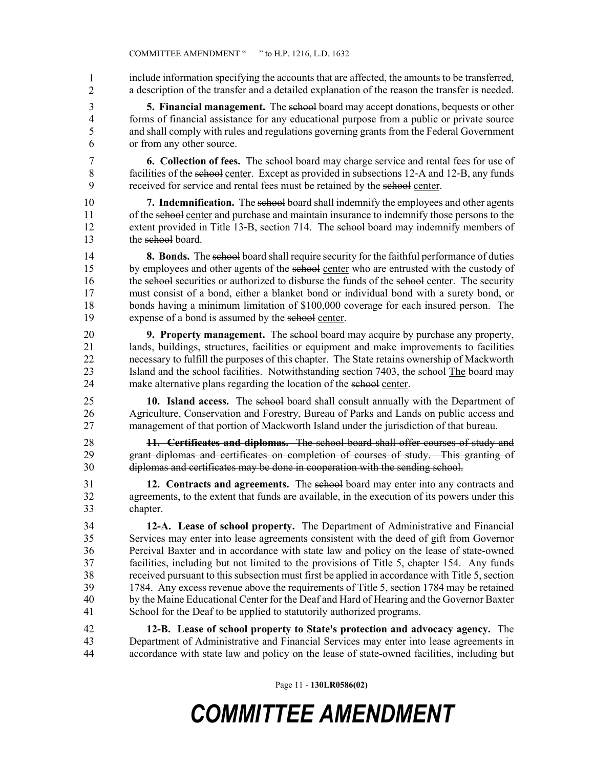include information specifying the accounts that are affected, the amounts to be transferred, a description of the transfer and a detailed explanation of the reason the transfer is needed. 1 2

3 **5. Financial management.** The school board may accept donations, bequests or other 4 forms of financial assistance for any educational purpose from a public or private source 5 and shall comply with rules and regulations governing grants from the Federal Government 6 or from any other source.

7 **6. Collection of fees.** The school board may charge service and rental fees for use of 8 facilities of the school center. Except as provided in subsections 12–A and 12–B, any funds 9 received for service and rental fees must be retained by the school center.

10 **7. Indemnification.** The school board shall indemnify the employees and other agents 11 of the school center and purchase and maintain insurance to indemnify those persons to the 12 extent provided in Title 13–B, section 714. The selection board may indemnify members of 13 the school board.

14 **8. Bonds.** The school board shall require security for the faithful performance of duties 15 by employees and other agents of the school center who are entrusted with the custody of 16 the school securities or authorized to disburse the funds of the school center. The security 17 must consist of a bond, either a blanket bond or individual bond with a surety bond, or 18 bonds having a minimum limitation of \$100,000 coverage for each insured person. The 19 expense of a bond is assumed by the school center.

20 **9. Property management.** The school board may acquire by purchase any property, 21 lands, buildings, structures, facilities or equipment and make improvements to facilities 22 necessary to fulfill the purposes of this chapter. The State retains ownership of Mackworth 23 Island and the school facilities. Notwithstanding section 7403, the school The board may 24 make alternative plans regarding the location of the school center.

25 **10. Island access.** The school board shall consult annually with the Department of 26 Agriculture, Conservation and Forestry, Bureau of Parks and Lands on public access and 27 management of that portion of Mackworth Island under the jurisdiction of that bureau.

28 **11. Certificates and diplomas.** The school board shall offer courses of study and 29 grant diplomas and certificates on completion of courses of study. This granting of 30 diplomas and certificates may be done in cooperation with the sending school.

31 **12. Contracts and agreements.** The school board may enter into any contracts and 32 agreements, to the extent that funds are available, in the execution of its powers under this 33 chapter.

34 **12-A. Lease of school property.** The Department of Administrative and Financial 35 Services may enter into lease agreements consistent with the deed of gift from Governor 36 Percival Baxter and in accordance with state law and policy on the lease of state-owned 37 facilities, including but not limited to the provisions of Title 5, chapter 154. Any funds 38 received pursuant to this subsection must first be applied in accordance with Title 5, section 39 1784. Any excess revenue above the requirements of Title 5, section 1784 may be retained 40 by the Maine Educational Center for the Deaf and Hard of Hearing and the Governor Baxter 41 School for the Deaf to be applied to statutorily authorized programs.

42 **12-B. Lease of school property to State's protection and advocacy agency.** The 43 Department of Administrative and Financial Services may enter into lease agreements in 44 accordance with state law and policy on the lease of state-owned facilities, including but

Page 11 - **130LR0586(02)**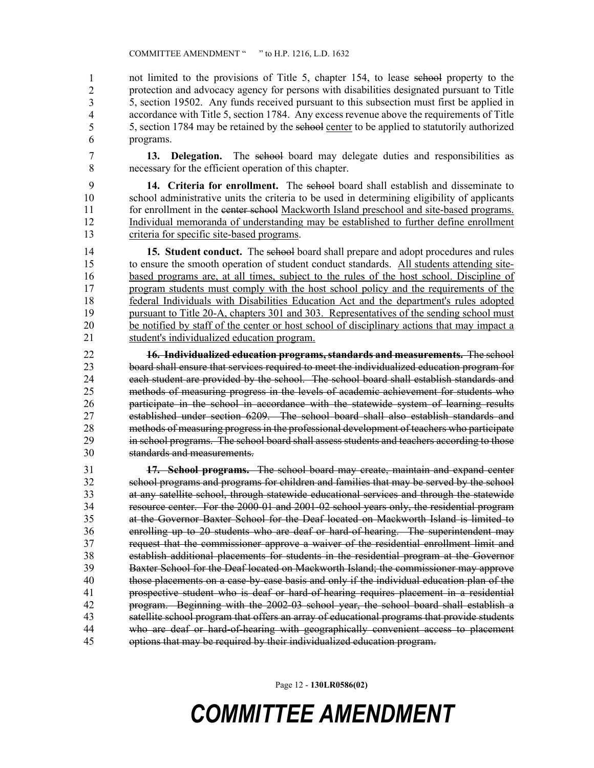not limited to the provisions of Title 5, chapter 154, to lease school property to the protection and advocacy agency for persons with disabilities designated pursuant to Title 5, section 19502. Any funds received pursuant to this subsection must first be applied in accordance with Title 5, section 1784. Any excess revenue above the requirements of Title 5, section 1784 may be retained by the school center to be applied to statutorily authorized programs. 1 2 3 4 5 6

7 **13. Delegation.** The school board may delegate duties and responsibilities as 8 necessary for the efficient operation of this chapter.

9 **14. Criteria for enrollment.** The school board shall establish and disseminate to 10 school administrative units the criteria to be used in determining eligibility of applicants 11 for enrollment in the center school Mackworth Island preschool and site-based programs. 12 Individual memoranda of understanding may be established to further define enrollment 13 criteria for specific site-based programs.

14 **15. Student conduct.** The school board shall prepare and adopt procedures and rules 15 to ensure the smooth operation of student conduct standards. All students attending site-16 based programs are, at all times, subject to the rules of the host school. Discipline of 17 program students must comply with the host school policy and the requirements of the 18 federal Individuals with Disabilities Education Act and the department's rules adopted 19 pursuant to Title 20-A, chapters 301 and 303. Representatives of the sending school must 20 be notified by staff of the center or host school of disciplinary actions that may impact a 21 student's individualized education program.

22 **16. Individualized education programs, standards and measurements.** The school 23 board shall ensure that services required to meet the individualized education program for 24 each student are provided by the school. The school board shall establish standards and 25 methods of measuring progress in the levels of academic achievement for students who 26 participate in the school in accordance with the statewide system of learning results 27 established under section 6209. The school board shall also establish standards and 28 methods of measuring progress in the professional development of teachers who participate 29 in school programs. The school board shall assess students and teachers according to those 30 standards and measurements.

31 **17. School programs.** The school board may create, maintain and expand center 32 school programs and programs for children and families that may be served by the school 33 at any satellite school, through statewide educational services and through the statewide 34 resource center. For the 2000-01 and 2001-02 school years only, the residential program 35 at the Governor Baxter School for the Deaf located on Mackworth Island is limited to 36 enrolling up to 20 students who are deaf or hard-of-hearing. The superintendent may 37 request that the commissioner approve a waiver of the residential enrollment limit and 38 establish additional placements for students in the residential program at the Governor 39 Baxter School for the Deaf located on Mackworth Island; the commissioner may approve 40 those placements on a case-by-case basis and only if the individual education plan of the 41 prospective student who is deaf or hard-of-hearing requires placement in a residential 42 program. Beginning with the 2002-03 school year, the school board shall establish a 43 satellite school program that offers an array of educational programs that provide students 44 who are deaf or hard-of-hearing with geographically convenient access to placement 45 options that may be required by their individualized education program.

Page 12 - **130LR0586(02)**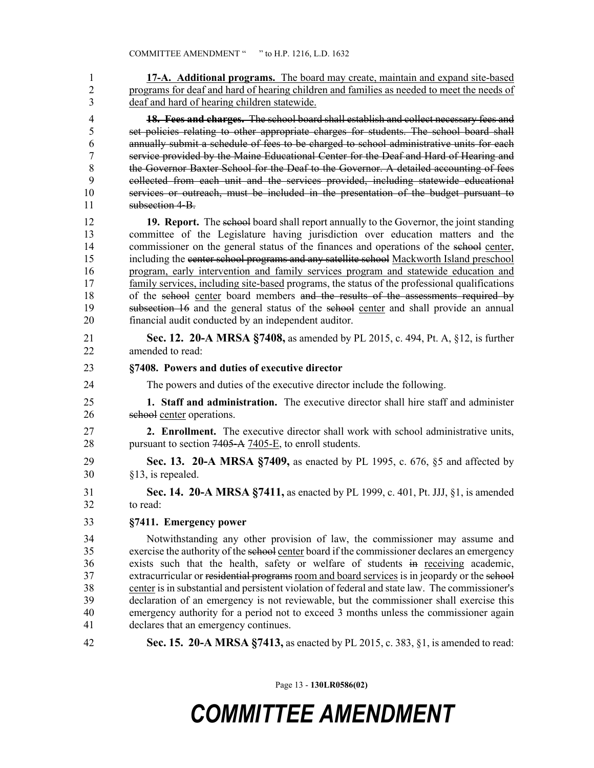1 **17-A. Additional programs.** The board may create, maintain and expand site-based 2 programs for deaf and hard of hearing children and families as needed to meet the needs of 3 deaf and hard of hearing children statewide. 4 **18. Fees and charges.** The school board shall establish and collect necessary fees and 5 set policies relating to other appropriate charges for students. The school board shall 6 annually submit a schedule of fees to be charged to school administrative units for each 7 service provided by the Maine Educational Center for the Deaf and Hard of Hearing and 8 the Governor Baxter School for the Deaf to the Governor. A detailed accounting of fees 9 collected from each unit and the services provided, including statewide educational 10 services or outreach, must be included in the presentation of the budget pursuant to 11 subsection 4–B 12 **19. Report.** The school board shall report annually to the Governor, the joint standing 13 committee of the Legislature having jurisdiction over education matters and the 14 commissioner on the general status of the finances and operations of the school center, 15 including the center school programs and any satellite school Mackworth Island preschool 16 program, early intervention and family services program and statewide education and 17 family services, including site-based programs, the status of the professional qualifications 18 of the school center board members and the results of the assessments required by 19 subsection 16 and the general status of the school center and shall provide an annual 20 financial audit conducted by an independent auditor. 21 **Sec. 12. 20-A MRSA §7408,** as amended by PL 2015, c. 494, Pt. A, §12, is further 22 amended to read: 23 **§7408. Powers and duties of executive director** 24 The powers and duties of the executive director include the following. 25 **1. Staff and administration.** The executive director shall hire staff and administer 26 school center operations. 27 **2. Enrollment.** The executive director shall work with school administrative units, 28 pursuant to section 7405–A 7405–E, to enroll students. 29 **Sec. 13. 20-A MRSA §7409,** as enacted by PL 1995, c. 676, §5 and affected by 30 §13, is repealed. 31 **Sec. 14. 20-A MRSA §7411,** as enacted by PL 1999, c. 401, Pt. JJJ, §1, is amended 32 to read: 33 **§7411. Emergency power** 34 Notwithstanding any other provision of law, the commissioner may assume and 35 exercise the authority of the school center board if the commissioner declares an emergency 36 exists such that the health, safety or welfare of students in receiving academic, 37 extracurricular or residential programs room and board services is in jeopardy or the school 38 center is in substantial and persistent violation of federal and state law. The commissioner's 39 declaration of an emergency is not reviewable, but the commissioner shall exercise this 40 emergency authority for a period not to exceed 3 months unless the commissioner again 41 declares that an emergency continues. 42 **Sec. 15. 20-A MRSA §7413,** as enacted by PL 2015, c. 383, §1, is amended to read:

Page 13 - **130LR0586(02)**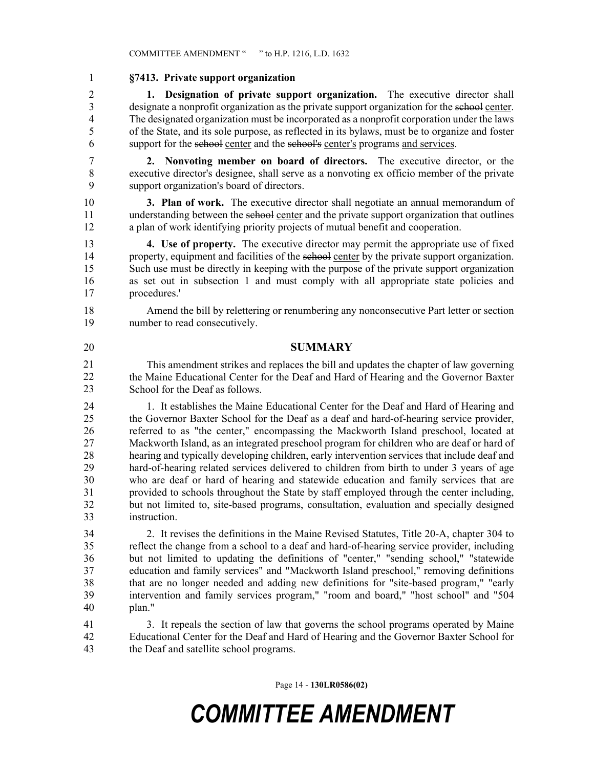#### 1 **§7413. Private support organization**

2 **1. Designation of private support organization.** The executive director shall 3 designate a nonprofit organization as the private support organization for the school center. 4 The designated organization must be incorporated as a nonprofit corporation under the laws 5 of the State, and its sole purpose, as reflected in its bylaws, must be to organize and foster 6 support for the school center and the school's center's programs and services.

7 **2. Nonvoting member on board of directors.** The executive director, or the 8 executive director's designee, shall serve as a nonvoting ex officio member of the private 9 support organization's board of directors.

10 **3. Plan of work.** The executive director shall negotiate an annual memorandum of 11 understanding between the school center and the private support organization that outlines 12 a plan of work identifying priority projects of mutual benefit and cooperation.

13 **4. Use of property.** The executive director may permit the appropriate use of fixed 14 property, equipment and facilities of the school center by the private support organization. 15 Such use must be directly in keeping with the purpose of the private support organization 16 as set out in subsection 1 and must comply with all appropriate state policies and 17 procedures.'

18 Amend the bill by relettering or renumbering any nonconsecutive Part letter or section 19 number to read consecutively.

#### 20 **SUMMARY**

21 This amendment strikes and replaces the bill and updates the chapter of law governing 22 the Maine Educational Center for the Deaf and Hard of Hearing and the Governor Baxter School for the Deaf as follows. 21 22 23

24 1. It establishes the Maine Educational Center for the Deaf and Hard of Hearing and 25 the Governor Baxter School for the Deaf as a deaf and hard-of-hearing service provider, 26 referred to as "the center," encompassing the Mackworth Island preschool, located at 27 Mackworth Island, as an integrated preschool program for children who are deaf or hard of 28 hearing and typically developing children, early intervention services that include deaf and 29 hard-of-hearing related services delivered to children from birth to under 3 years of age 30 who are deaf or hard of hearing and statewide education and family services that are 31 provided to schools throughout the State by staff employed through the center including, 32 but not limited to, site-based programs, consultation, evaluation and specially designed 33 instruction.

34 2. It revises the definitions in the Maine Revised Statutes, Title 20-A, chapter 304 to 35 reflect the change from a school to a deaf and hard-of-hearing service provider, including 36 but not limited to updating the definitions of "center," "sending school," "statewide 37 education and family services" and "Mackworth Island preschool," removing definitions 38 that are no longer needed and adding new definitions for "site-based program," "early 39 intervention and family services program," "room and board," "host school" and "504 40 plan."

41 3. It repeals the section of law that governs the school programs operated by Maine 42 Educational Center for the Deaf and Hard of Hearing and the Governor Baxter School for 43 the Deaf and satellite school programs.

Page 14 - **130LR0586(02)**